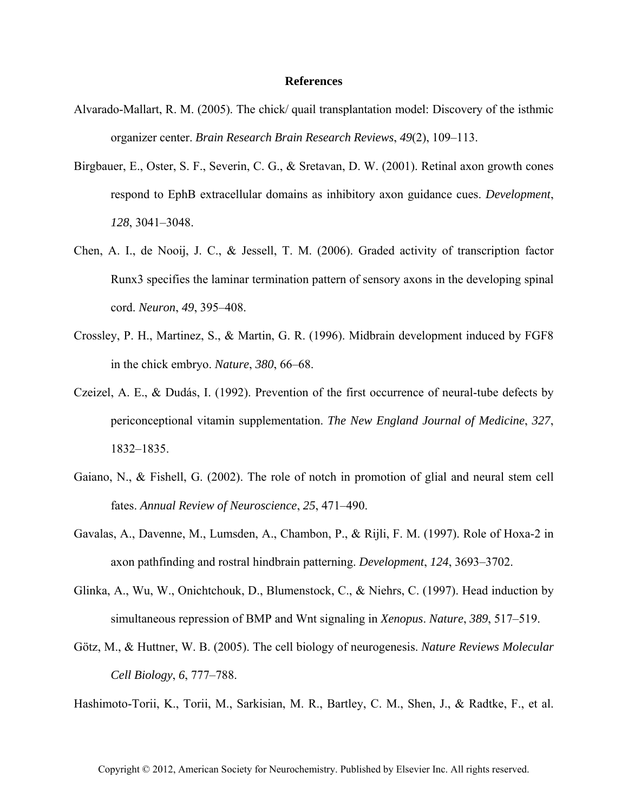## **References**

- Alvarado-Mallart, R. M. (2005). The chick/ quail transplantation model: Discovery of the isthmic organizer center. *Brain Research Brain Research Reviews*, *49*(2), 109–113.
- Birgbauer, E., Oster, S. F., Severin, C. G., & Sretavan, D. W. (2001). Retinal axon growth cones respond to EphB extracellular domains as inhibitory axon guidance cues. *Development*, *128*, 3041–3048.
- Chen, A. I., de Nooij, J. C., & Jessell, T. M. (2006). Graded activity of transcription factor Runx3 specifies the laminar termination pattern of sensory axons in the developing spinal cord. *Neuron*, *49*, 395–408.
- Crossley, P. H., Martinez, S., & Martin, G. R. (1996). Midbrain development induced by FGF8 in the chick embryo. *Nature*, *380*, 66–68.
- Czeizel, A. E., & Dudás, I. (1992). Prevention of the first occurrence of neural-tube defects by periconceptional vitamin supplementation. *The New England Journal of Medicine*, *327*, 1832–1835.
- Gaiano, N., & Fishell, G. (2002). The role of notch in promotion of glial and neural stem cell fates. *Annual Review of Neuroscience*, *25*, 471–490.
- Gavalas, A., Davenne, M., Lumsden, A., Chambon, P., & Rijli, F. M. (1997). Role of Hoxa-2 in axon pathfinding and rostral hindbrain patterning. *Development*, *124*, 3693–3702.
- Glinka, A., Wu, W., Onichtchouk, D., Blumenstock, C., & Niehrs, C. (1997). Head induction by simultaneous repression of BMP and Wnt signaling in *Xenopus*. *Nature*, *389*, 517–519.
- Götz, M., & Huttner, W. B. (2005). The cell biology of neurogenesis. *Nature Reviews Molecular Cell Biology*, *6*, 777–788.

Hashimoto-Torii, K., Torii, M., Sarkisian, M. R., Bartley, C. M., Shen, J., & Radtke, F., et al.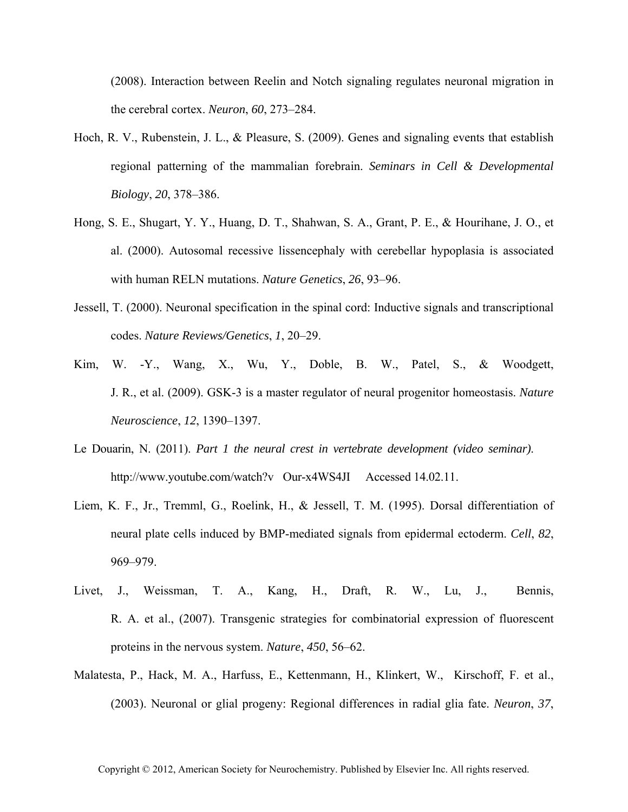(2008). Interaction between Reelin and Notch signaling regulates neuronal migration in the cerebral cortex. *Neuron*, *60*, 273–284.

- Hoch, R. V., Rubenstein, J. L., & Pleasure, S. (2009). Genes and signaling events that establish regional patterning of the mammalian forebrain. *Seminars in Cell & Developmental Biology*, *20*, 378–386.
- Hong, S. E., Shugart, Y. Y., Huang, D. T., Shahwan, S. A., Grant, P. E., & Hourihane, J. O., et al. (2000). Autosomal recessive lissencephaly with cerebellar hypoplasia is associated with human RELN mutations. *Nature Genetics*, *26*, 93–96.
- Jessell, T. (2000). Neuronal specification in the spinal cord: Inductive signals and transcriptional codes. *Nature Reviews/Genetics*, *1*, 20–29.
- Kim, W. -Y., Wang, X., Wu, Y., Doble, B. W., Patel, S., & Woodgett, J. R., et al. (2009). GSK-3 is a master regulator of neural progenitor homeostasis. *Nature Neuroscience*, *12*, 1390–1397.
- Le Douarin, N. (2011). *Part 1 the neural crest in vertebrate development (video seminar)*. http://www.youtube.com/watch?v Our-x4WS4JI Accessed 14.02.11.
- Liem, K. F., Jr., Tremml, G., Roelink, H., & Jessell, T. M. (1995). Dorsal differentiation of neural plate cells induced by BMP-mediated signals from epidermal ectoderm. *Cell*, *82*, 969–979.
- Livet, J., Weissman, T. A., Kang, H., Draft, R. W., Lu, J., Bennis, R. A. et al., (2007). Transgenic strategies for combinatorial expression of fluorescent proteins in the nervous system. *Nature*, *450*, 56–62.
- Malatesta, P., Hack, M. A., Harfuss, E., Kettenmann, H., Klinkert, W., Kirschoff, F. et al., (2003). Neuronal or glial progeny: Regional differences in radial glia fate. *Neuron*, *37*,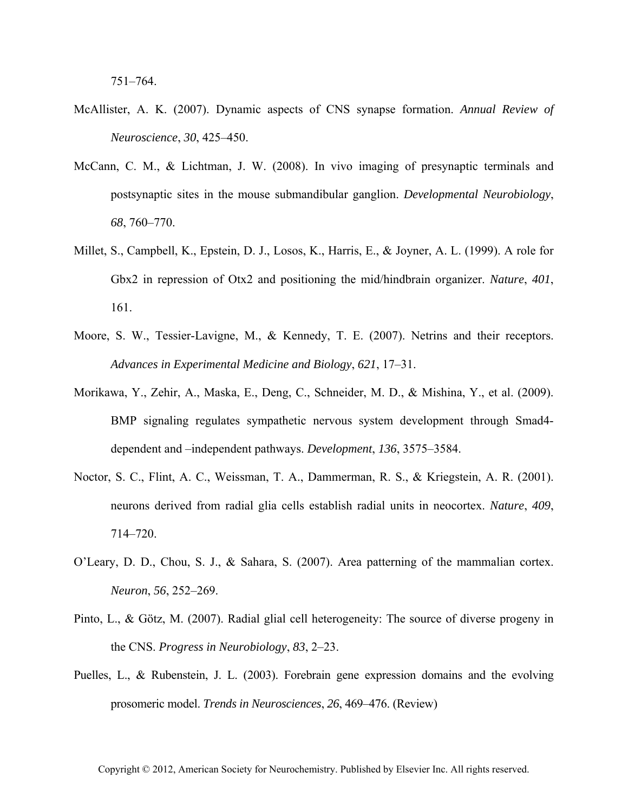- McAllister, A. K. (2007). Dynamic aspects of CNS synapse formation. *Annual Review of Neuroscience*, *30*, 425–450.
- McCann, C. M., & Lichtman, J. W. (2008). In vivo imaging of presynaptic terminals and postsynaptic sites in the mouse submandibular ganglion. *Developmental Neurobiology*, *68*, 760–770.
- Millet, S., Campbell, K., Epstein, D. J., Losos, K., Harris, E., & Joyner, A. L. (1999). A role for Gbx2 in repression of Otx2 and positioning the mid/hindbrain organizer. *Nature*, *401*, 161.
- Moore, S. W., Tessier-Lavigne, M., & Kennedy, T. E. (2007). Netrins and their receptors. *Advances in Experimental Medicine and Biology*, *621*, 17–31.
- Morikawa, Y., Zehir, A., Maska, E., Deng, C., Schneider, M. D., & Mishina, Y., et al. (2009). BMP signaling regulates sympathetic nervous system development through Smad4 dependent and –independent pathways. *Development*, *136*, 3575–3584.
- Noctor, S. C., Flint, A. C., Weissman, T. A., Dammerman, R. S., & Kriegstein, A. R. (2001). neurons derived from radial glia cells establish radial units in neocortex. *Nature*, *409*, 714–720.
- O'Leary, D. D., Chou, S. J., & Sahara, S. (2007). Area patterning of the mammalian cortex. *Neuron*, *56*, 252–269.
- Pinto, L., & Götz, M. (2007). Radial glial cell heterogeneity: The source of diverse progeny in the CNS. *Progress in Neurobiology*, *83*, 2–23.
- Puelles, L., & Rubenstein, J. L. (2003). Forebrain gene expression domains and the evolving prosomeric model. *Trends in Neurosciences*, *26*, 469–476. (Review)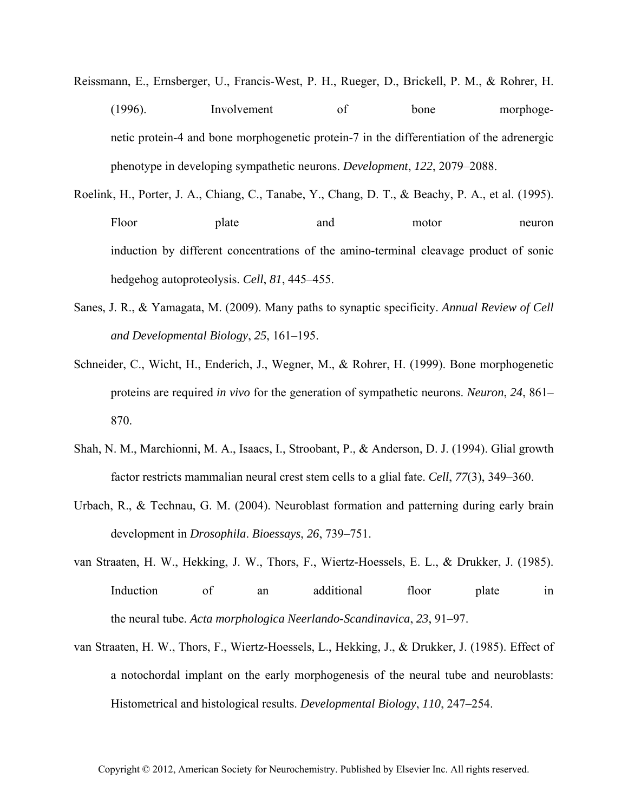- Reissmann, E., Ernsberger, U., Francis-West, P. H., Rueger, D., Brickell, P. M., & Rohrer, H. (1996). Involvement of bone morphogenetic protein-4 and bone morphogenetic protein-7 in the differentiation of the adrenergic phenotype in developing sympathetic neurons. *Development*, *122*, 2079–2088.
- Roelink, H., Porter, J. A., Chiang, C., Tanabe, Y., Chang, D. T., & Beachy, P. A., et al. (1995). Floor plate and motor neuron induction by different concentrations of the amino-terminal cleavage product of sonic hedgehog autoproteolysis. *Cell*, *81*, 445–455.
- Sanes, J. R., & Yamagata, M. (2009). Many paths to synaptic specificity. *Annual Review of Cell and Developmental Biology*, *25*, 161–195.
- Schneider, C., Wicht, H., Enderich, J., Wegner, M., & Rohrer, H. (1999). Bone morphogenetic proteins are required *in vivo* for the generation of sympathetic neurons. *Neuron*, *24*, 861– 870.
- Shah, N. M., Marchionni, M. A., Isaacs, I., Stroobant, P., & Anderson, D. J. (1994). Glial growth factor restricts mammalian neural crest stem cells to a glial fate. *Cell*, *77*(3), 349–360.
- Urbach, R., & Technau, G. M. (2004). Neuroblast formation and patterning during early brain development in *Drosophila*. *Bioessays*, *26*, 739–751.
- van Straaten, H. W., Hekking, J. W., Thors, F., Wiertz-Hoessels, E. L., & Drukker, J. (1985). Induction of an additional floor plate in the neural tube. *Acta morphologica Neerlando-Scandinavica*, *23*, 91–97.
- van Straaten, H. W., Thors, F., Wiertz-Hoessels, L., Hekking, J., & Drukker, J. (1985). Effect of a notochordal implant on the early morphogenesis of the neural tube and neuroblasts: Histometrical and histological results. *Developmental Biology*, *110*, 247–254.